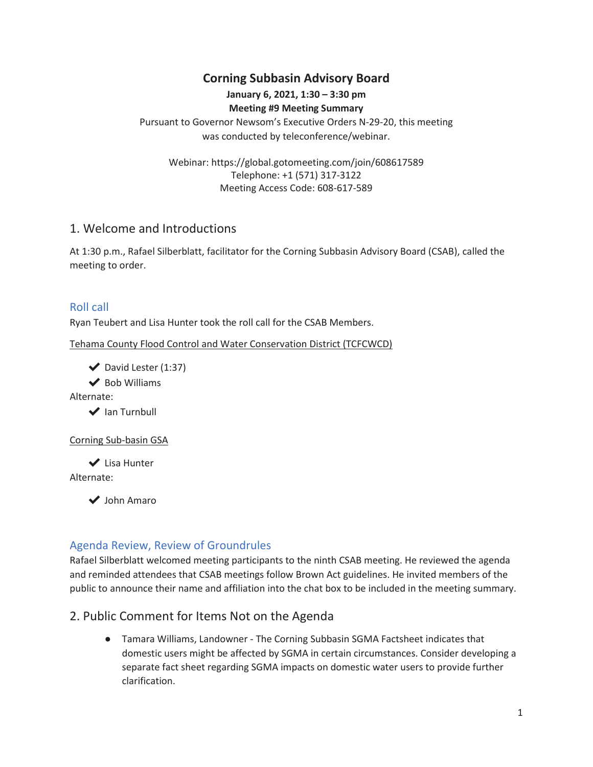# **Corning Subbasin Advisory Board**

#### **January 6, 2021, 1:30 – 3:30 pm Meeting #9 Meeting Summary**

Pursuant to Governor Newsom's Executive Orders N-29-20, this meeting was conducted by teleconference/webinar.

Webinar: https://global.gotomeeting.com/join/608617589 Telephone: +1 (571) 317-3122 Meeting Access Code: 608-617-589

#### 1. Welcome and Introductions

At 1:30 p.m., Rafael Silberblatt, facilitator for the Corning Subbasin Advisory Board (CSAB), called the meeting to order.

#### Roll call

Ryan Teubert and Lisa Hunter took the roll call for the CSAB Members.

Tehama County Flood Control and Water Conservation District (TCFCWCD)

 $\blacktriangleright$  David Lester (1:37)

 $\blacktriangleright$  Bob Williams

Alternate:

**◆ Ian Turnbull** 

Corning Sub-basin GSA

**◆** Lisa Hunter Alternate:

ᦿ John Amaro

## Agenda Review, Review of Groundrules

Rafael Silberblatt welcomed meeting participants to the ninth CSAB meeting. He reviewed the agenda and reminded attendees that CSAB meetings follow Brown Act guidelines. He invited members of the public to announce their name and affiliation into the chat box to be included in the meeting summary.

## 2. Public Comment for Items Not on the Agenda

**•** Tamara Williams, Landowner - The Corning Subbasin SGMA Factsheet indicates that domestic users might be affected by SGMA in certain circumstances. Consider developing a separate fact sheet regarding SGMA impacts on domestic water users to provide further clarification.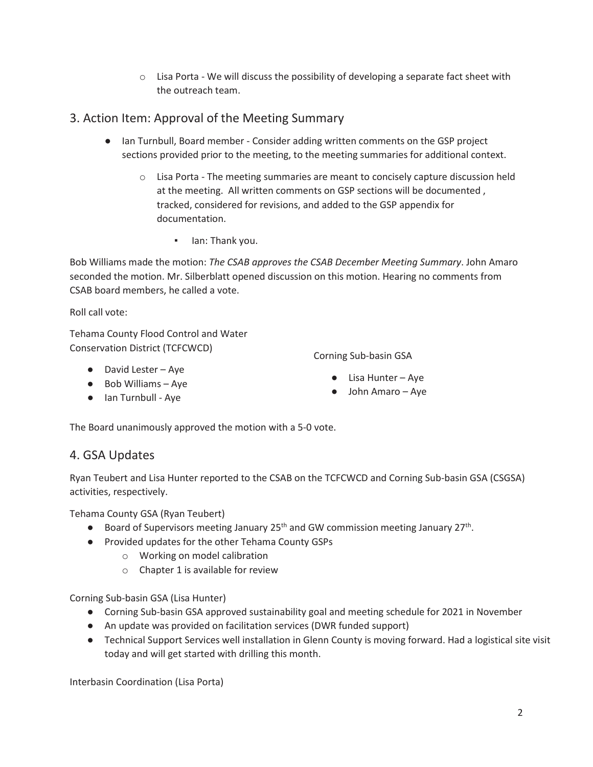$\circ$  Lisa Porta - We will discuss the possibility of developing a separate fact sheet with the outreach team.

# 3. Action Item: Approval of the Meeting Summary

- **•** Ian Turnbull, Board member Consider adding written comments on the GSP project sections provided prior to the meeting, to the meeting summaries for additional context.
	- $\circ$  Lisa Porta The meeting summaries are meant to concisely capture discussion held at the meeting. All written comments on GSP sections will be documented , tracked, considered for revisions, and added to the GSP appendix for documentation.
		- **•** Ian: Thank you.

Bob Williams made the motion: *The CSAB approves the CSAB December Meeting Summary*. John Amaro seconded the motion. Mr. Silberblatt opened discussion on this motion. Hearing no comments from CSAB board members, he called a vote.

Roll call vote:

Tehama County Flood Control and Water Conservation District (TCFCWCD)

- David Lester Aye
- Bob Williams Aye
- **•** Ian Turnbull Aye

Corning Sub-basin GSA

- $\bullet$  Lisa Hunter Aye
- John Amaro Aye

The Board unanimously approved the motion with a 5-0 vote.

## 4. GSA Updates

Ryan Teubert and Lisa Hunter reported to the CSAB on the TCFCWCD and Corning Sub-basin GSA (CSGSA) activities, respectively.

Tehama County GSA (Ryan Teubert)

- **•** Board of Supervisors meeting January 25<sup>th</sup> and GW commission meeting January 27<sup>th</sup>.
- භ Provided updates for the other Tehama County GSPs
	- o Working on model calibration
	- o Chapter 1 is available for review

Corning Sub-basin GSA (Lisa Hunter)

- භ Corning Sub-basin GSA approved sustainability goal and meeting schedule for 2021 in November
- භ An update was provided on facilitation services (DWR funded support)
- භ Technical Support Services well installation in Glenn County is moving forward. Had a logistical site visit today and will get started with drilling this month.

Interbasin Coordination (Lisa Porta)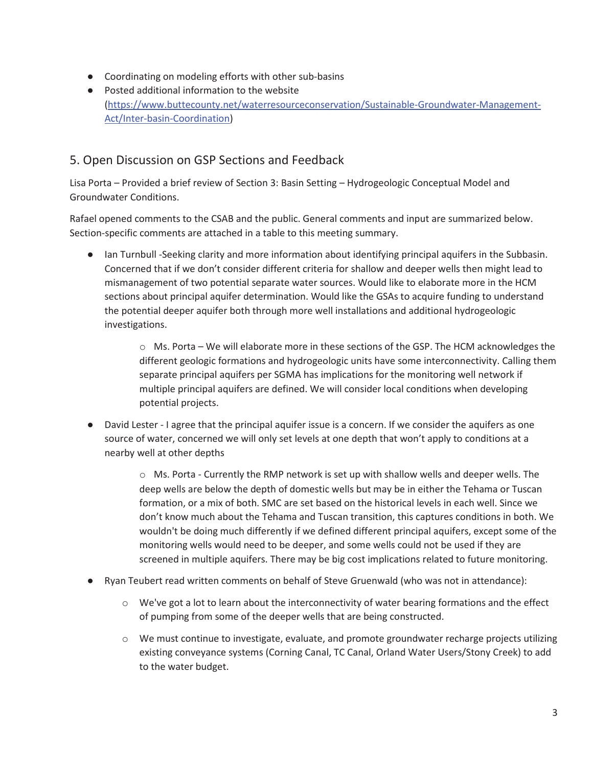- **•** Coordinating on modeling efforts with other sub-basins
- භ Posted additional information to the website (https://www.buttecounty.net/waterresourceconservation/Sustainable-Groundwater-Management-Act/Inter-basin-Coordination)

## 5. Open Discussion on GSP Sections and Feedback

Lisa Porta – Provided a brief review of Section 3: Basin Setting – Hydrogeologic Conceptual Model and Groundwater Conditions.

Rafael opened comments to the CSAB and the public. General comments and input are summarized below. Section-specific comments are attached in a table to this meeting summary.

භ Ian Turnbull -Seeking clarity and more information about identifying principal aquifers in the Subbasin. Concerned that if we don't consider different criteria for shallow and deeper wells then might lead to mismanagement of two potential separate water sources. Would like to elaborate more in the HCM sections about principal aquifer determination. Would like the GSAs to acquire funding to understand the potential deeper aquifer both through more well installations and additional hydrogeologic investigations.

> o Ms. Porta – We will elaborate more in these sections of the GSP. The HCM acknowledges the different geologic formations and hydrogeologic units have some interconnectivity. Calling them separate principal aquifers per SGMA has implications for the monitoring well network if multiple principal aquifers are defined. We will consider local conditions when developing potential projects.

**•** David Lester - I agree that the principal aquifer issue is a concern. If we consider the aquifers as one source of water, concerned we will only set levels at one depth that won't apply to conditions at a nearby well at other depths

> o Ms. Porta - Currently the RMP network is set up with shallow wells and deeper wells. The deep wells are below the depth of domestic wells but may be in either the Tehama or Tuscan formation, or a mix of both. SMC are set based on the historical levels in each well. Since we don't know much about the Tehama and Tuscan transition, this captures conditions in both. We wouldn't be doing much differently if we defined different principal aquifers, except some of the monitoring wells would need to be deeper, and some wells could not be used if they are screened in multiple aquifers. There may be big cost implications related to future monitoring.

- භ Ryan Teubert read written comments on behalf of Steve Gruenwald (who was not in attendance):
	- $\circ$  We've got a lot to learn about the interconnectivity of water bearing formations and the effect of pumping from some of the deeper wells that are being constructed.
	- o We must continue to investigate, evaluate, and promote groundwater recharge projects utilizing existing conveyance systems (Corning Canal, TC Canal, Orland Water Users/Stony Creek) to add to the water budget.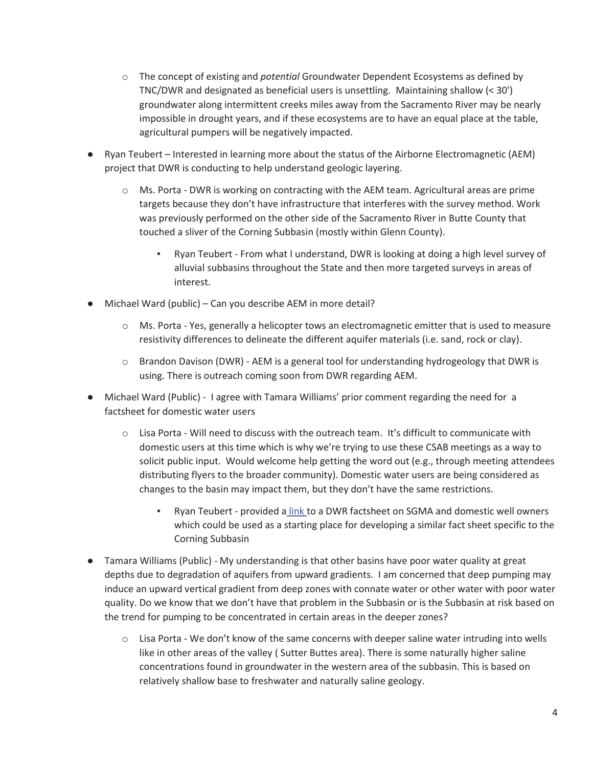- o The concept of existing and *potential* Groundwater Dependent Ecosystems as defined by TNC/DWR and designated as beneficial users is unsettling. Maintaining shallow (< 30') groundwater along intermittent creeks miles away from the Sacramento River may be nearly impossible in drought years, and if these ecosystems are to have an equal place at the table, agricultural pumpers will be negatively impacted.
- Ryan Teubert Interested in learning more about the status of the Airborne Electromagnetic (AEM) project that DWR is conducting to help understand geologic layering.
	- $\circ$  Ms. Porta DWR is working on contracting with the AEM team. Agricultural areas are prime targets because they don't have infrastructure that interferes with the survey method. Work was previously performed on the other side of the Sacramento River in Butte County that touched a sliver of the Corning Subbasin (mostly within Glenn County).
		- Ryan Teubert From what I understand, DWR is looking at doing a high level survey of alluvial subbasins throughout the State and then more targeted surveys in areas of interest.
- Michael Ward (public) Can you describe AEM in more detail?
	- $\circ$  Ms. Porta Yes, generally a helicopter tows an electromagnetic emitter that is used to measure resistivity differences to delineate the different aquifer materials (i.e. sand, rock or clay).
	- o Brandon Davison (DWR) AEM is a general tool for understanding hydrogeology that DWR is using. There is outreach coming soon from DWR regarding AEM.
- Michael Ward (Public) I agree with Tamara Williams' prior comment regarding the need for a factsheet for domestic water users
	- $\circ$  Lisa Porta Will need to discuss with the outreach team. It's difficult to communicate with domestic users at this time which is why we're trying to use these CSAB meetings as a way to solicit public input. Would welcome help getting the word out (e.g., through meeting attendees distributing flyers to the broader community). Domestic water users are being considered as changes to the basin may impact them, but they don't have the same restrictions.
		- Ryan Teubert provided a link to a DWR factsheet on SGMA and domestic well owners which could be used as a starting place for developing a similar fact sheet specific to the Corning Subbasin
- **•** Tamara Williams (Public) My understanding is that other basins have poor water quality at great depths due to degradation of aquifers from upward gradients. I am concerned that deep pumping may induce an upward vertical gradient from deep zones with connate water or other water with poor water quality. Do we know that we don't have that problem in the Subbasin or is the Subbasin at risk based on the trend for pumping to be concentrated in certain areas in the deeper zones?
	- o Lisa Porta We don't know of the same concerns with deeper saline water intruding into wells like in other areas of the valley ( Sutter Buttes area). There is some naturally higher saline concentrations found in groundwater in the western area of the subbasin. This is based on relatively shallow base to freshwater and naturally saline geology.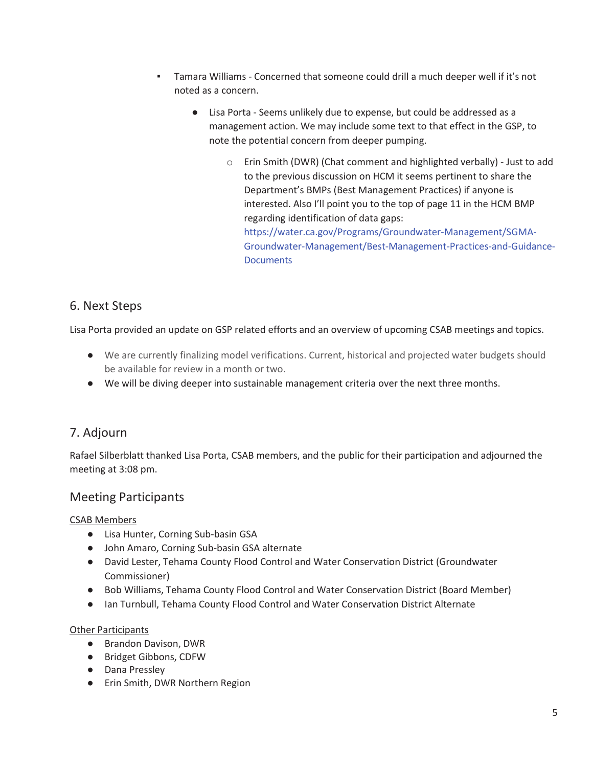- Tamara Williams Concerned that someone could drill a much deeper well if it's not noted as a concern.
	- භ Lisa Porta Seems unlikely due to expense, but could be addressed as a management action. We may include some text to that effect in the GSP, to note the potential concern from deeper pumping.
		- o Erin Smith (DWR) (Chat comment and highlighted verbally) Just to add to the previous discussion on HCM it seems pertinent to share the Department's BMPs (Best Management Practices) if anyone is interested. Also I'll point you to the top of page 11 in the HCM BMP regarding identification of data gaps: https://water.ca.gov/Programs/Groundwater-Management/SGMA-Groundwater-Management/Best-Management-Practices-and-Guidance-**Documents**

## 6. Next Steps

Lisa Porta provided an update on GSP related efforts and an overview of upcoming CSAB meetings and topics.

- Ɣ We are currently finalizing model verifications. Current, historical and projected water budgets should be available for review in a month or two.
- භ We will be diving deeper into sustainable management criteria over the next three months.

# 7. Adjourn

Rafael Silberblatt thanked Lisa Porta, CSAB members, and the public for their participation and adjourned the meeting at 3:08 pm.

## Meeting Participants

#### CSAB Members

- භ Lisa Hunter, Corning Sub-basin GSA
- භ John Amaro, Corning Sub-basin GSA alternate
- භ David Lester, Tehama County Flood Control and Water Conservation District (Groundwater Commissioner)
- භ Bob Williams, Tehama County Flood Control and Water Conservation District (Board Member)
- භ Ian Turnbull, Tehama County Flood Control and Water Conservation District Alternate

#### Other Participants

- **•** Brandon Davison, DWR
- භ Bridget Gibbons, CDFW
- **•** Dana Pressley
- භ Erin Smith, DWR Northern Region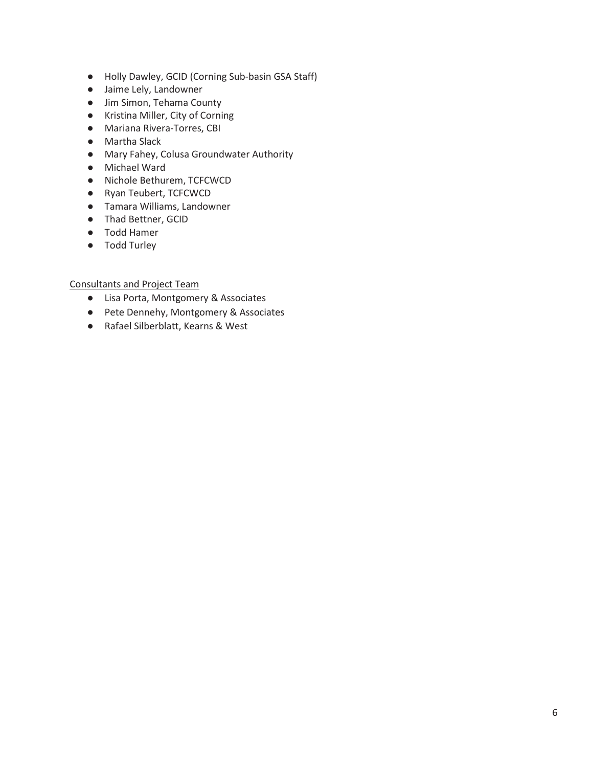- භ Holly Dawley, GCID (Corning Sub-basin GSA Staff)
- **•** Jaime Lely, Landowner
- **•** Jim Simon, Tehama County
- භ Kristina Miller, City of Corning
- භ Mariana Rivera-Torres, CBI
- **•** Martha Slack
- භ Mary Fahey, Colusa Groundwater Authority
- භ Michael Ward
- භ Nichole Bethurem, TCFCWCD
- භ Ryan Teubert, TCFCWCD
- **•** Tamara Williams, Landowner
- **•** Thad Bettner, GCID
- **•** Todd Hamer
- **•** Todd Turley

Consultants and Project Team

- භ Lisa Porta, Montgomery & Associates
- භ Pete Dennehy, Montgomery & Associates
- භ Rafael Silberblatt, Kearns & West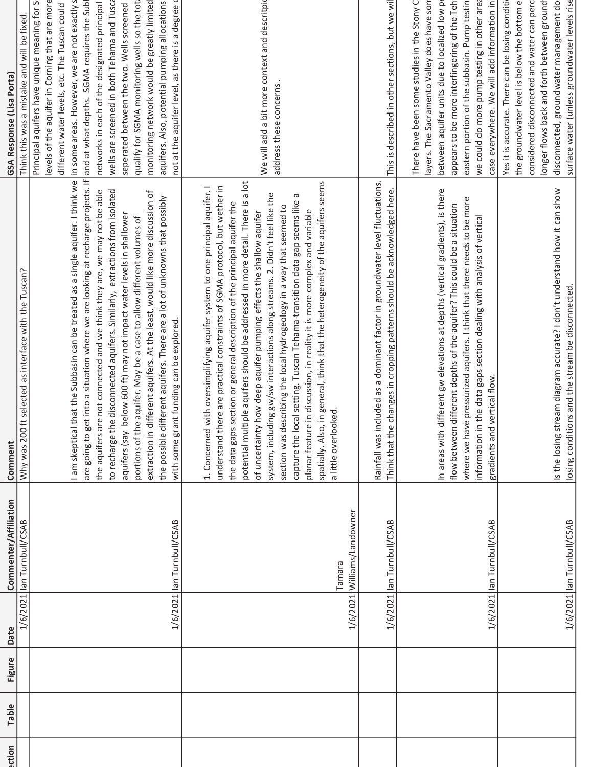| ection | Table | Figure | Date | Commenter/Affiliation                 | Comment                                                                                                                                                                                                                                                                                                                                                                                                                                                                                                                                                                                                                                                                                                                                                                                                                         | GSA Response (Lisa Porta)                                                                                                                                                                                                                                                                                                                                                                                                                                                                                                                         |
|--------|-------|--------|------|---------------------------------------|---------------------------------------------------------------------------------------------------------------------------------------------------------------------------------------------------------------------------------------------------------------------------------------------------------------------------------------------------------------------------------------------------------------------------------------------------------------------------------------------------------------------------------------------------------------------------------------------------------------------------------------------------------------------------------------------------------------------------------------------------------------------------------------------------------------------------------|---------------------------------------------------------------------------------------------------------------------------------------------------------------------------------------------------------------------------------------------------------------------------------------------------------------------------------------------------------------------------------------------------------------------------------------------------------------------------------------------------------------------------------------------------|
|        |       |        |      | 1/6/2021 lan Turnbull/CSAB            | Why was 200 ft selected as interface with the Tuscan?                                                                                                                                                                                                                                                                                                                                                                                                                                                                                                                                                                                                                                                                                                                                                                           | Think this was a mistake and will be fixed.                                                                                                                                                                                                                                                                                                                                                                                                                                                                                                       |
|        |       |        |      | 1/6/2021 lan Turnbull/CSAB            | are going to get into a situation where we are looking at recharge projects. If and at what depths. SGMA requires the Subl<br>I am skeptical that the Subbasin can be treated as a single aquifer. I think we<br>to recharge the disconnected aquifers. Similarly, extractions from isolated<br>the aquifers are not connected and we think they are, we may not be able<br>different aquifers. At the least, would like more discussion of<br>the possible different aquifers. There are a lot of unknowns that possibly<br>below 600 ft) may not impact water levels in shallower<br>portions of the aquifer. May be a case to allow different volumes of<br>with some grant funding can be explored.<br>aquifers (say<br>extraction in                                                                                       | not at the aquifer level, as there is a degree q<br>levels of the aquifer in Corning that are more<br>in some areas. However, we are not exactly s<br>wells are screened in both Tehama and Tusca<br>qualify for SGMA monitoring wells so the toti<br>monitoring network would be greatly limited<br>Principal aquifers have unique meaning for Sy<br>aquifers. Also, potential pumping allocations<br>networks in each of the designated principal<br>seperated between the two. Wells screened<br>different water levels, etc. The Tuscan could |
|        |       |        |      | 1/6/2021 Williams/Landowner<br>Tamara | spatially. Also, in general, think that the heterogeneity of the aquifers seems<br>potential multiple aquifers should be addressed in more detail. There is a lot<br>with oversimplifying aquifer system to one principal aquifer. I<br>understand there are practical constraints of SGMA protocol, but wether in<br>system, including gw/sw interactions along streams. 2. Didn't feel like the<br>capture the local setting. Tuscan Tehama-transition data gap seems like a<br>the data gaps section or general description of the principal aquifer the<br>section was describing the local hydrogeology in a way that seemed to<br>planar feature in discussion, in reality it is more complex and variable<br>of uncertainty how deep aquifer pumping effects the shallow aquifer<br>a little overlooked.<br>1. Concerned | We will add a bit more context and descritpid<br>address these concerns                                                                                                                                                                                                                                                                                                                                                                                                                                                                           |
|        |       |        |      | 1/6/2021 lan Turnbull/CSAB            | Rainfall was included as a dominant factor in groundwater level fluctuations.<br>Think that the changes in cropping patterns should be acknowledged here.                                                                                                                                                                                                                                                                                                                                                                                                                                                                                                                                                                                                                                                                       | This is described in other sections, but we wil                                                                                                                                                                                                                                                                                                                                                                                                                                                                                                   |
|        |       |        |      | 1/6/2021 lan Turnbull/CSAB            | different gw elevations at depths (vertical gradients), is there<br>where we have pressurized aquifers. I think that there needs to be more<br>flow between different depths of the aquifer? This could be a situation<br>information in the data gaps section dealing with analysis of vertical<br>gradients and vertical flow.<br>In areas with                                                                                                                                                                                                                                                                                                                                                                                                                                                                               | There have been some studies in the Stony C<br>we could do more pump testing in other area<br>layers. The Sacramento Valley does have som<br>appears to be more interfingering of the Teh<br>eastern portion of the subbasin. Pump testin<br>case everywhere. We will add information in<br>between aquifer units due to localized low p                                                                                                                                                                                                          |
|        |       |        |      | 1/6/2021 lan Turnbull/CSAB            | Is the losing stream diagram accurate? I don't understand how it can show<br>losing conditions and the stream be disconnected                                                                                                                                                                                                                                                                                                                                                                                                                                                                                                                                                                                                                                                                                                   | surface water (unless groundwater levels rise<br>considered disconnected and water can perc<br>Yes it is accurate. There can be losing condition<br>the groundwater level is below the bottom e<br>longer flows back and forth between ground<br>disconnected, groundwater management do                                                                                                                                                                                                                                                          |